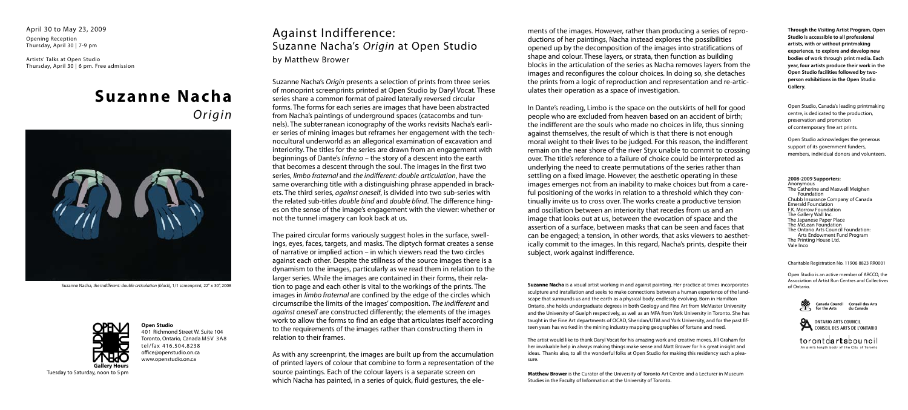Suzanne Nacha, *the indifferent: double articulation (black),* 1/1 screenprint, 22" x 30", 2008

# **Suzanne Nacha** *Origin*



## Against Indifference: Suzanne Nacha's *Origin* at Open Studio

by Matthew Brower

Suzanne Nacha's *Origin* presents a selection of prints from three series of monoprint screenprints printed at Open Studio by Daryl Vocat. These series share a common format of paired laterally reversed circular forms. The forms for each series are images that have been abstracted from Nacha's paintings of underground spaces (catacombs and tunnels). The subterranean iconography of the works revisits Nacha's earlier series of mining images but reframes her engagement with the technocultural underworld as an allegorical examination of excavation and interiority. The titles for the series are drawn from an engagement with beginnings of Dante's *Inferno* – the story of a descent into the earth that becomes a descent through the soul. The images in the first two series, *limbo fraternal* and *the indifferent: double articulation*, have the same overarching title with a distinguishing phrase appended in brackets. The third series, *against oneself*, is divided into two sub-series with the related sub-titles *double bind* and *double blind*. The difference hinges on the sense of the image's engagement with the viewer: whether or not the tunnel imagery can look back at us.

The paired circular forms variously suggest holes in the surface, swellings, eyes, faces, targets, and masks. The diptych format creates a sense of narrative or implied action – in which viewers read the two circles against each other. Despite the stillness of the source images there is a dynamism to the images, particularly as we read them in relation to the larger series. While the images are contained in their forms, their relation to page and each other is vital to the workings of the prints. The images in *limbo fraternal* are confined by the edge of the circles which circumscribe the limits of the images' composition. *The indifferent* and *against oneself* are constructed differently; the elements of the images work to allow the forms to find an edge that articulates itself according to the requirements of the images rather than constructing them in relation to their frames.

As with any screenprint, the images are built up from the accumulation of printed layers of colour that combine to form a representation of the source paintings. Each of the colour layers is a separate screen on which Nacha has painted, in a series of quick, fluid gestures, the ele-

ments of the images. However, rather than producing a series of reproductions of her paintings, Nacha instead explores the possibilities opened up by the decomposition of the images into stratifications of shape and colour. These layers, or strata, then function as building blocks in the articulation of the series as Nacha removes layers from the images and reconfigures the colour choices. In doing so, she detaches the prints from a logic of reproduction and representation and re-articulates their operation as a space of investigation.

> Open Studio, Canada's leading printmaking centre, is dedicated to the production, preservation and promotion of contemporary fine art prints.

In Dante's reading, Limbo is the space on the outskirts of hell for good people who are excluded from heaven based on an accident of birth; the indifferent are the souls who made no choices in life, thus sinning against themselves, the result of which is that there is not enough moral weight to their lives to be judged. For this reason, the indifferent remain on the near shore of the river Styx unable to commit to crossing over. The title's reference to a failure of choice could be interpreted as underlying the need to create permutations of the series rather than settling on a fixed image. However, the aesthetic operating in these images emerges not from an inability to make choices but from a careful positioning of the works in relation to a threshold which they continually invite us to cross over. The works create a productive tension and oscillation between an interiority that recedes from us and an image that looks out at us, between the evocation of space and the assertion of a surface, between masks that can be seen and faces that can be engaged; a tension, in other words, that asks viewers to aesthetically commit to the images. In this regard, Nacha's prints, despite their subject, work against indifference.

April 30 to May 23, 2009

Opening Reception Thursday, April 30 | 7-9 pm

Artists' Talks at Open Studio Thursday, April 30 | 6 pm. Free admission

> **Suzanne Nacha** is a visual artist working in and against painting. Her practice at times incorporates sculpture and installation and seeks to make connections between a human experience of the landscape that surrounds us and the earth as a physical body, endlessly evolving. Born in Hamilton Ontario, she holds undergraduate degrees in both Geology and Fine Art from McMaster University and the University of Guelph respectively, as well as an MFA from York University in Toronto. She has taught in the Fine Art departments of OCAD, Sheridan/UTM and York University, and for the past fifteen years has worked in the mining industry mapping geographies of fortune and need.

The artist would like to thank Daryl Vocat for his amazing work and creative moves, Jill Graham for her invaluable help in always making things make sense and Matt Brower for his great insight and ideas. Thanks also, to all the wonderful folks at Open Studio for making this residency such a pleasure.

**Matthew Brower** is the Curator of the University of Toronto Art Centre and a Lecturer in Museum Studies in the Faculty of Information at the University of Toronto.



Tuesday to Saturday, noon to 5pm

#### **Open Studio**

401 Richmond Street W. Suite 104 Toronto, Ontario, Canada M5V 3A8 tel/fax 416.504.8238 office@openstudio.on.ca www.openstudio.on.ca

**Through the Visiting Artist Program, Open Studio is accessible to all professional artists, with or without printmaking experience, to explore and develop new bodies of work through print media. Each year, four artists produce their work in the Open Studio facilities followed by twoperson exhibitions in the Open Studio Gallery.**

Open Studio acknowledges the generous support of its government funders, members, individual donors and volunteers.

#### **2008-2009 Supporters:**

Anonymous The Catherine and Maxwell Meighen Foundation Chubb Insurance Company of Canada Emerald Foundation F.K. Morrow Foundation The Gallery Wall Inc. The Japanese Paper Place The McLean Foundation The Ontario Arts Council Foundation: Arts Endowment Fund Program The Printing House Ltd. Vale Inco

Charitable Registration No. 11906 8823 RR0001

Open Studio is an active member of ARCCO, the Association of Artist Run Centres and Collectives of Ontario.



Canada Council Conseil des Arts for the Arts du Canada



ONTARIO ARTS COUNCIL<br>CONSEIL DES ARTS DE L'ONTARIO